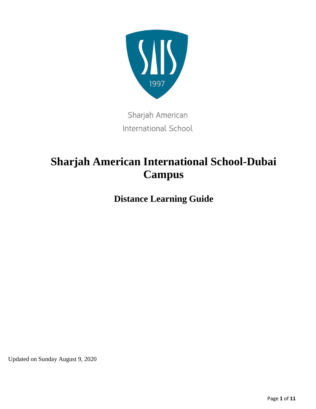

Sharjah American **International School** 

# **Sharjah American International School-Dubai Campus**

**Distance Learning Guide**

Updated on Sunday August 9, 2020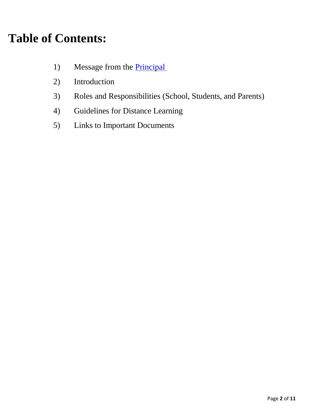# **Table of Contents:**

- 1) Message from the **Principal**
- 2) Introduction
- 3) Roles and Responsibilities (School, Students, and Parents)
- 4) Guidelines for Distance Learning
- 5) Links to Important Documents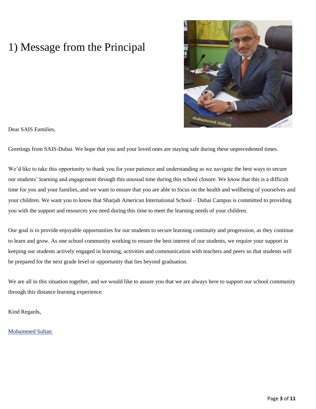## 1) Message from the Principal



Dear SAIS Families,

Greetings from SAIS-Dubai. We hope that you and your loved ones are staying safe during these unprecedented times.

We'd like to take this opportunity to thank you for your patience and understanding as we navigate the best ways to secure our students' learning and engagement through this unusual time during this school closure. We know that this is a difficult time for you and your families, and we want to ensure that you are able to focus on the health and wellbeing of yourselves and your children. We want you to know that Sharjah American International School – Dubai Campus is committed to providing you with the support and resources you need during this time to meet the learning needs of your children.

Our goal is to provide enjoyable opportunities for our students to secure learning continuity and progression, as they continue to learn and grow. As one school community working to ensure the best interest of our students, we require your support in keeping our students actively engaged in learning, activities and communication with teachers and peers so that students will be prepared for the next grade level or opportunity that lies beyond graduation.

We are all in this situation together, and we would like to assure you that we are always here to support our school community through this distance learning experience.

Kind Regards,

[Mohammed Sultan](mailto:mohammed.sultan@saisdubai.com)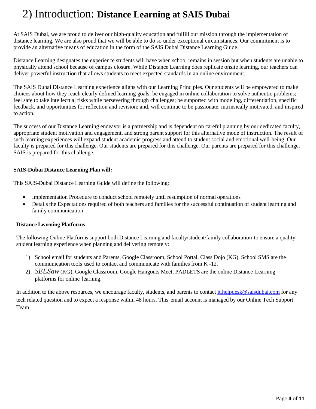## 2) Introduction: **Distance Learning at SAIS Dubai**

At SAIS Dubai, we are proud to deliver our high-quality education and fulfill our mission through the implementation of distance learning. We are also proud that we will be able to do so under exceptional circumstances. Our commitment is to provide an alternative means of education in the form of the SAIS Dubai Distance Learning Guide.

Distance Learning designates the experience students will have when school remains in session but when students are unable to physically attend school because of campus closure. While Distance Learning does replicate onsite learning, our teachers can deliver powerful instruction that allows students to meet expected standards in an online environment.

The SAIS Dubai Distance Learning experience aligns with our Learning Principles. Our students will be empowered to make choices about how they reach clearly defined learning goals; be engaged in online collaboration to solve authentic problems; feel safe to take intellectual risks while persevering through challenges; be supported with modeling, differentiation, specific feedback, and opportunities for reflection and revision; and, will continue to be passionate, intrinsically motivated, and inspired to action.

The success of our Distance Learning endeavor is a partnership and is dependent on careful planning by our dedicated faculty, appropriate student motivation and engagement, and strong parent support for this alternative mode of instruction. The result of such learning experiences will expand student academic progress and attend to student social and emotional well-being. Our faculty is prepared for this challenge. Our students are prepared for this challenge. Our parents are prepared for this challenge. SAIS is prepared for this challenge.

### **SAIS-Dubai Distance Learning Plan will:**

This SAIS-Dubai Distance Learning Guide will define the following:

- Implementation Procedure to conduct school remotely until resumption of normal operations
- Details the Expectations required of both teachers and families for the successful continuation of student learning and family communication

### **Distance Learning Platforms**

The following Online Platforms support both Distance Learning and faculty/student/family collaboration to ensure a quality student learning experience when planning and delivering remotely:

- 1) School email for students and Parents, Google Classroom, School Portal, Class Dojo (KG), School SMS are the communication tools used to contact and communicate with families from K -12.
- 2) *SEESaw*(KG), Google Classroom, Google Hangouts Meet, PADLETS are the online Distance Learning platforms for online learning.

In addition to the above resources, we encourage faculty, students, and parents to contact *[it.helpdesk@saisdubai.com](mailto:it.helpdesk@saisdubai.com)* for any tech related question and to expect a response within 48 hours. This email account is managed by our Online Tech Support Team.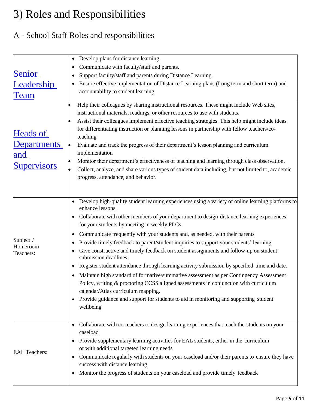# 3) Roles and Responsibilities

### A - School Staff Roles and responsibilities

|                                                                                                   | Develop plans for distance learning.                                                                                            |  |  |
|---------------------------------------------------------------------------------------------------|---------------------------------------------------------------------------------------------------------------------------------|--|--|
|                                                                                                   | Communicate with faculty/staff and parents.                                                                                     |  |  |
| Senior                                                                                            | Support faculty/staff and parents during Distance Learning.                                                                     |  |  |
| <u>Leadership</u>                                                                                 | Ensure effective implementation of Distance Learning plans (Long term and short term) and<br>accountability to student learning |  |  |
|                                                                                                   |                                                                                                                                 |  |  |
| Team                                                                                              |                                                                                                                                 |  |  |
|                                                                                                   | Help their colleagues by sharing instructional resources. These might include Web sites,<br>$\bullet$                           |  |  |
|                                                                                                   | instructional materials, readings, or other resources to use with students.                                                     |  |  |
|                                                                                                   | Assist their colleagues implement effective teaching strategies. This help might include ideas                                  |  |  |
| <b>Heads of</b>                                                                                   | for differentiating instruction or planning lessons in partnership with fellow teachers/co-                                     |  |  |
|                                                                                                   | teaching                                                                                                                        |  |  |
| <b>Departments</b>                                                                                | Evaluate and track the progress of their department's lesson planning and curriculum<br>$\bullet$                               |  |  |
| and                                                                                               | implementation                                                                                                                  |  |  |
| <b>Supervisors</b>                                                                                | Monitor their department's effectiveness of teaching and learning through class observation.                                    |  |  |
| Collect, analyze, and share various types of student data including, but not limited to, academic |                                                                                                                                 |  |  |
|                                                                                                   | progress, attendance, and behavior.                                                                                             |  |  |
|                                                                                                   |                                                                                                                                 |  |  |
|                                                                                                   |                                                                                                                                 |  |  |
|                                                                                                   | • Develop high-quality student learning experiences using a variety of online learning platforms to                             |  |  |
|                                                                                                   | enhance lessons.                                                                                                                |  |  |
|                                                                                                   | Collaborate with other members of your department to design distance learning experiences<br>٠                                  |  |  |
|                                                                                                   | for your students by meeting in weekly PLCs.                                                                                    |  |  |
| Subject /                                                                                         | Communicate frequently with your students and, as needed, with their parents<br>٠                                               |  |  |
| Homeroom                                                                                          | Provide timely feedback to parent/student inquiries to support your students' learning.                                         |  |  |
| Teachers:                                                                                         | Give constructive and timely feedback on student assignments and follow-up on student<br>submission deadlines.                  |  |  |
|                                                                                                   | Register student attendance through learning activity submission by specified time and date.<br>٠                               |  |  |
|                                                                                                   |                                                                                                                                 |  |  |
|                                                                                                   | Maintain high standard of formative/summative assessment as per Contingency Assessment                                          |  |  |
|                                                                                                   | Policy, writing & proctoring CCSS aligned assessments in conjunction with curriculum<br>calendar/Atlas curriculum mapping.      |  |  |
|                                                                                                   | • Provide guidance and support for students to aid in monitoring and supporting student                                         |  |  |
|                                                                                                   | wellbeing                                                                                                                       |  |  |
|                                                                                                   |                                                                                                                                 |  |  |
|                                                                                                   |                                                                                                                                 |  |  |
|                                                                                                   | • Collaborate with co-teachers to design learning experiences that teach the students on your<br>caseload                       |  |  |
|                                                                                                   |                                                                                                                                 |  |  |
|                                                                                                   | Provide supplementary learning activities for EAL students, either in the curriculum<br>٠                                       |  |  |
| <b>EAL Teachers:</b>                                                                              | or with additional targeted learning needs                                                                                      |  |  |
|                                                                                                   | Communicate regularly with students on your caseload and/or their parents to ensure they have                                   |  |  |
|                                                                                                   | success with distance learning                                                                                                  |  |  |
|                                                                                                   | Monitor the progress of students on your caseload and provide timely feedback<br>٠                                              |  |  |
|                                                                                                   |                                                                                                                                 |  |  |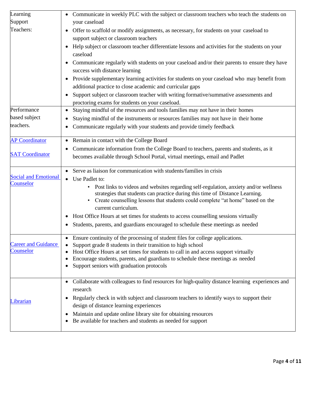| Learning                                 | • Communicate in weekly PLC with the subject or classroom teachers who teach the students on                                                                                |  |
|------------------------------------------|-----------------------------------------------------------------------------------------------------------------------------------------------------------------------------|--|
| Support                                  | your caseload                                                                                                                                                               |  |
| Teachers:                                | • Offer to scaffold or modify assignments, as necessary, for students on your caseload to                                                                                   |  |
|                                          | support subject or classroom teachers                                                                                                                                       |  |
|                                          | Help subject or classroom teacher differentiate lessons and activities for the students on your                                                                             |  |
|                                          | caseload                                                                                                                                                                    |  |
|                                          | Communicate regularly with students on your caseload and/or their parents to ensure they have                                                                               |  |
|                                          | success with distance learning                                                                                                                                              |  |
|                                          | Provide supplementary learning activities for students on your caseload who may benefit from                                                                                |  |
|                                          | additional practice to close academic and curricular gaps                                                                                                                   |  |
|                                          | Support subject or classroom teacher with writing formative/summative assessments and<br>$\bullet$                                                                          |  |
|                                          | proctoring exams for students on your caseload.                                                                                                                             |  |
| Performance                              | Staying mindful of the resources and tools families may not have in their homes<br>$\bullet$                                                                                |  |
| based subject                            | Staying mindful of the instruments or resources families may not have in their home                                                                                         |  |
| teachers.                                | Communicate regularly with your students and provide timely feedback                                                                                                        |  |
| <b>AP Coordinator</b>                    | Remain in contact with the College Board<br>$\bullet$                                                                                                                       |  |
|                                          | Communicate information from the College Board to teachers, parents and students, as it                                                                                     |  |
| <b>SAT Coordinator</b>                   | becomes available through School Portal, virtual meetings, email and Padlet                                                                                                 |  |
|                                          | • Serve as liaison for communication with students/families in crisis                                                                                                       |  |
| <b>Social and Emotional</b><br>Counselor | Use Padlet to:                                                                                                                                                              |  |
|                                          | Post links to videos and websites regarding self-regulation, anxiety and/or wellness<br>$\bullet$                                                                           |  |
|                                          | strategies that students can practice during this time of Distance Learning.                                                                                                |  |
|                                          | Create counselling lessons that students could complete "at home" based on the<br>current curriculum.                                                                       |  |
|                                          | Host Office Hours at set times for students to access counselling sessions virtually                                                                                        |  |
|                                          |                                                                                                                                                                             |  |
|                                          | Students, parents, and guardians encouraged to schedule these meetings as needed<br>٠                                                                                       |  |
|                                          | • Ensure continuity of the processing of student files for college applications.                                                                                            |  |
| <b>Career and Guidance</b><br>Counselor  | Support grade 8 students in their transition to high school                                                                                                                 |  |
|                                          | Host Office Hours at set times for students to call in and access support virtually<br>Encourage students, parents, and guardians to schedule these meetings as needed<br>٠ |  |
|                                          | Support seniors with graduation protocols                                                                                                                                   |  |
|                                          |                                                                                                                                                                             |  |
|                                          | • Collaborate with colleagues to find resources for high-quality distance learning experiences and                                                                          |  |
| Librarian                                | research                                                                                                                                                                    |  |
|                                          | Regularly check in with subject and classroom teachers to identify ways to support their                                                                                    |  |
|                                          | design of distance learning experiences                                                                                                                                     |  |
|                                          | Maintain and update online library site for obtaining resources                                                                                                             |  |
|                                          | Be available for teachers and students as needed for support                                                                                                                |  |
|                                          |                                                                                                                                                                             |  |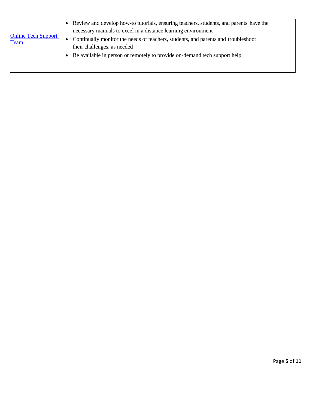| <b>Online Tech Support</b><br><b>Team</b> | • Review and develop how-to tutorials, ensuring teachers, students, and parents have the |
|-------------------------------------------|------------------------------------------------------------------------------------------|
|                                           | necessary manuals to excel in a distance learning environment                            |
|                                           | • Continually monitor the needs of teachers, students, and parents and troubleshoot      |
|                                           | their challenges, as needed                                                              |
|                                           | • Be available in person or remotely to provide on-demand tech support help              |
|                                           |                                                                                          |
|                                           |                                                                                          |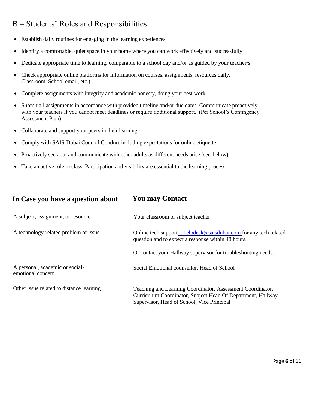### B – Students' Roles and Responsibilities

- Establish daily routines for engaging in the learning experiences
- Identify a comfortable, quiet space in your home where you can work effectively and successfully
- Dedicate appropriate time to learning, comparable to a school day and/or as guided by your teacher/s.
- Check appropriate online platforms for information on courses, assignments, resources daily. Classroom, School email, etc.)
- Complete assignments with integrity and academic honesty, doing your best work
- Submit all assignments in accordance with provided timeline and/or due dates. Communicate proactively with your teachers if you cannot meet deadlines or require additional support. (Per School's Contingency Assessment Plan)
- Collaborate and support your peers in their learning
- Comply with SAIS-Dubai Code of Conduct including expectations for online etiquette
- Proactively seek out and communicate with other adults as different needs arise (see below)
- Take an active role in class. Participation and visibility are essential to the learning process.

| In Case you have a question about                    | <b>You may Contact</b>                                                                                                                                                                           |
|------------------------------------------------------|--------------------------------------------------------------------------------------------------------------------------------------------------------------------------------------------------|
| A subject, assignment, or resource                   | Your classroom or subject teacher                                                                                                                                                                |
| A technology-related problem or issue                | Online tech support <i>it.helpdesk@saisdubai.com</i> for any tech related<br>question and to expect a response within 48 hours.<br>Or contact your Hallway supervisor for troubleshooting needs. |
| A personal, academic or social-<br>emotional concern | Social Emotional counsellor, Head of School                                                                                                                                                      |
| Other issue related to distance learning             | Teaching and Learning Coordinator, Assessment Coordinator,<br>Curriculum Coordinator, Subject Head Of Department, Hallway<br>Supervisor, Head of School, Vice Principal                          |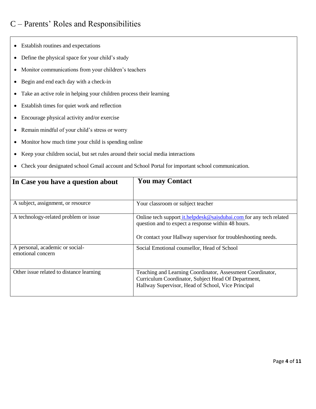### C – Parents' Roles and Responsibilities

- Establish routines and expectations
- Define the physical space for your child's study
- Monitor communications from your children's teachers
- Begin and end each day with a check-in
- Take an active role in helping your children process their learning
- Establish times for quiet work and reflection
- Encourage physical activity and/or exercise
- Remain mindful of your child's stress or worry
- Monitor how much time your child is spending online
- Keep your children social, but set rules around their social media interactions
- Check your designated school Gmail account and School Portal for important school communication.

| In Case you have a question about                    | <b>You may Contact</b>                                                                                                                                                  |
|------------------------------------------------------|-------------------------------------------------------------------------------------------------------------------------------------------------------------------------|
| A subject, assignment, or resource                   | Your classroom or subject teacher                                                                                                                                       |
| A technology-related problem or issue                | Online tech support <i>it.helpdesk@saisdubai.com</i> for any tech related<br>question and to expect a response within 48 hours.                                         |
| A personal, academic or social-<br>emotional concern | Or contact your Hallway supervisor for troubleshooting needs.<br>Social Emotional counsellor, Head of School                                                            |
| Other issue related to distance learning             | Teaching and Learning Coordinator, Assessment Coordinator,<br>Curriculum Coordinator, Subject Head Of Department,<br>Hallway Supervisor, Head of School, Vice Principal |
|                                                      |                                                                                                                                                                         |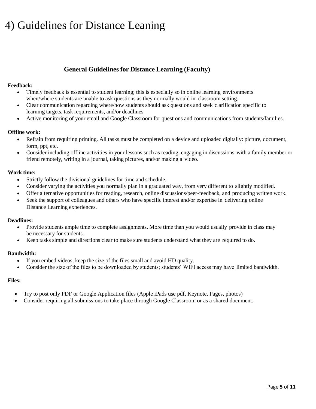## 4) Guidelines for Distance Leaning

### **General Guidelines for Distance Learning (Faculty)**

### **Feedback:**

- Timely feedback is essential to student learning; this is especially so in online learning environments when/where students are unable to ask questions as they normally would in classroom setting.
- Clear communication regarding where/how students should ask questions and seek clarification specific to learning targets, task requirements, and/or deadlines
- Active monitoring of your email and Google Classroom for questions and communications from students/families.

### **Offline work:**

- Refrain from requiring printing. All tasks must be completed on a device and uploaded digitally: picture, document, form, ppt, etc.
- Consider including offline activities in your lessons such as reading, engaging in discussions with a family member or friend remotely, writing in a journal, taking pictures, and/or making a video.

### **Work time:**

- Strictly follow the divisional guidelines for time and schedule.
- Consider varying the activities you normally plan in a graduated way, from very different to slightly modified.
- Offer alternative opportunities for reading, research, online discussions/peer-feedback, and producing written work.
- Seek the support of colleagues and others who have specific interest and/or expertise in delivering online Distance Learning experiences.

### **Deadlines:**

- Provide students ample time to complete assignments. More time than you would usually provide in class may be necessary for students.
- Keep tasks simple and directions clear to make sure students understand what they are required to do.

### **Bandwidth:**

- If you embed videos, keep the size of the files small and avoid HD quality.
- Consider the size of the files to be downloaded by students; students' WIFI access may have limited bandwidth.

### **Files:**

- Try to post only PDF or Google Application files (Apple iPads use pdf, Keynote, Pages, photos)
- Consider requiring all submissions to take place through Google Classroom or as a shared document.